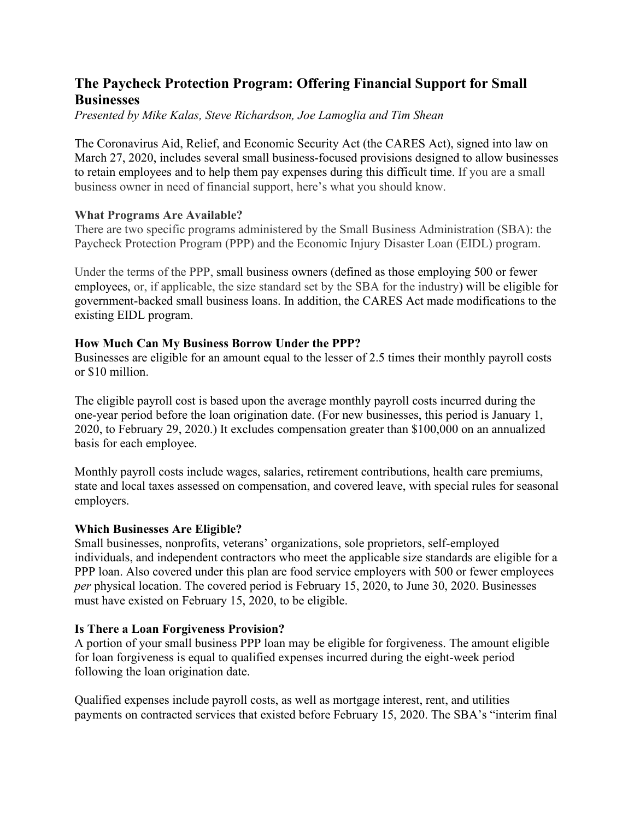# **The Paycheck Protection Program: Offering Financial Support for Small Businesses**

*Presented by Mike Kalas, Steve Richardson, Joe Lamoglia and Tim Shean*

The Coronavirus Aid, Relief, and Economic Security Act (the CARES Act), signed into law on March 27, 2020, includes several small business-focused provisions designed to allow businesses to retain employees and to help them pay expenses during this difficult time. If you are a small business owner in need of financial support, here's what you should know.

# **What Programs Are Available?**

There are two specific programs administered by the Small Business Administration (SBA): the Paycheck Protection Program (PPP) and the Economic Injury Disaster Loan (EIDL) program.

Under the terms of the PPP, small business owners (defined as those employing 500 or fewer employees, or, if applicable, the size standard set by the SBA for the industry) will be eligible for government-backed small business loans. In addition, the CARES Act made modifications to the existing EIDL program.

# **How Much Can My Business Borrow Under the PPP?**

Businesses are eligible for an amount equal to the lesser of 2.5 times their monthly payroll costs or \$10 million.

The eligible payroll cost is based upon the average monthly payroll costs incurred during the one-year period before the loan origination date. (For new businesses, this period is January 1, 2020, to February 29, 2020.) It excludes compensation greater than \$100,000 on an annualized basis for each employee.

Monthly payroll costs include wages, salaries, retirement contributions, health care premiums, state and local taxes assessed on compensation, and covered leave, with special rules for seasonal employers.

# **Which Businesses Are Eligible?**

Small businesses, nonprofits, veterans' organizations, sole proprietors, self-employed individuals, and independent contractors who meet the applicable size standards are eligible for a PPP loan. Also covered under this plan are food service employers with 500 or fewer employees *per* physical location. The covered period is February 15, 2020, to June 30, 2020. Businesses must have existed on February 15, 2020, to be eligible.

# **Is There a Loan Forgiveness Provision?**

A portion of your small business PPP loan may be eligible for forgiveness. The amount eligible for loan forgiveness is equal to qualified expenses incurred during the eight-week period following the loan origination date.

Qualified expenses include payroll costs, as well as mortgage interest, rent, and utilities payments on contracted services that existed before February 15, 2020. The SBA's "interim final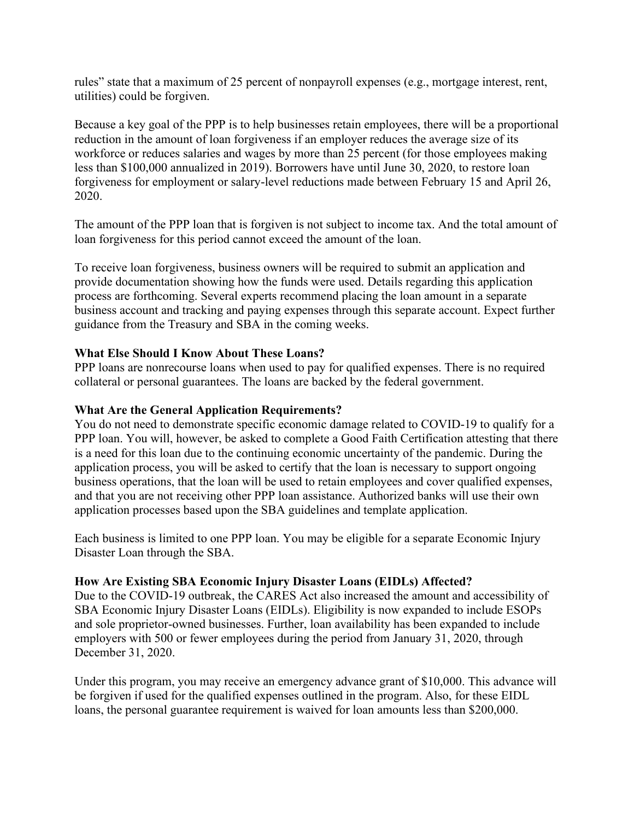rules" state that a maximum of 25 percent of nonpayroll expenses (e.g., mortgage interest, rent, utilities) could be forgiven.

Because a key goal of the PPP is to help businesses retain employees, there will be a proportional reduction in the amount of loan forgiveness if an employer reduces the average size of its workforce or reduces salaries and wages by more than 25 percent (for those employees making less than \$100,000 annualized in 2019). Borrowers have until June 30, 2020, to restore loan forgiveness for employment or salary-level reductions made between February 15 and April 26, 2020.

The amount of the PPP loan that is forgiven is not subject to income tax. And the total amount of loan forgiveness for this period cannot exceed the amount of the loan.

To receive loan forgiveness, business owners will be required to submit an application and provide documentation showing how the funds were used. Details regarding this application process are forthcoming. Several experts recommend placing the loan amount in a separate business account and tracking and paying expenses through this separate account. Expect further guidance from the Treasury and SBA in the coming weeks.

# **What Else Should I Know About These Loans?**

PPP loans are nonrecourse loans when used to pay for qualified expenses. There is no required collateral or personal guarantees. The loans are backed by the federal government.

### **What Are the General Application Requirements?**

You do not need to demonstrate specific economic damage related to COVID-19 to qualify for a PPP loan. You will, however, be asked to complete a Good Faith Certification attesting that there is a need for this loan due to the continuing economic uncertainty of the pandemic. During the application process, you will be asked to certify that the loan is necessary to support ongoing business operations, that the loan will be used to retain employees and cover qualified expenses, and that you are not receiving other PPP loan assistance. Authorized banks will use their own application processes based upon the SBA guidelines and template application.

Each business is limited to one PPP loan. You may be eligible for a separate Economic Injury Disaster Loan through the SBA.

#### **How Are Existing SBA Economic Injury Disaster Loans (EIDLs) Affected?**

Due to the COVID-19 outbreak, the CARES Act also increased the amount and accessibility of SBA Economic Injury Disaster Loans (EIDLs). Eligibility is now expanded to include ESOPs and sole proprietor-owned businesses. Further, loan availability has been expanded to include employers with 500 or fewer employees during the period from January 31, 2020, through December 31, 2020.

Under this program, you may receive an emergency advance grant of \$10,000. This advance will be forgiven if used for the qualified expenses outlined in the program. Also, for these EIDL loans, the personal guarantee requirement is waived for loan amounts less than \$200,000.